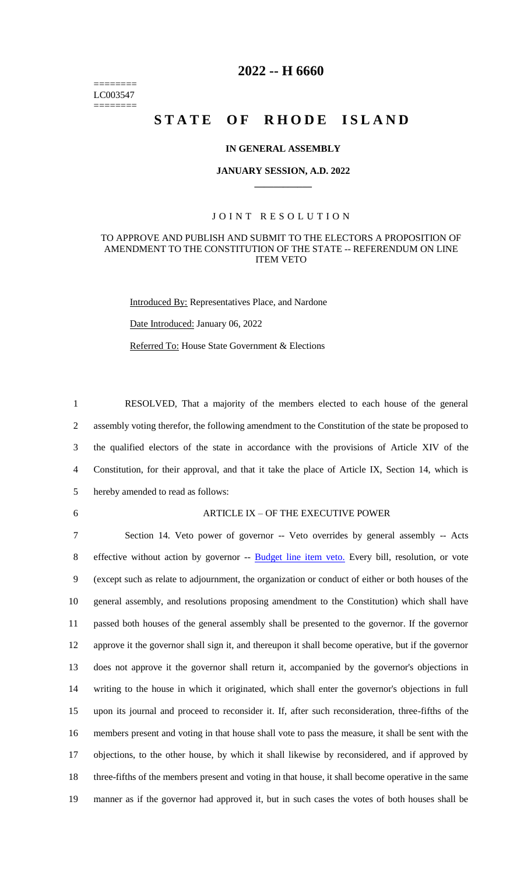======== LC003547 ========

## **2022 -- H 6660**

## STATE OF RHODE ISLAND

### **IN GENERAL ASSEMBLY**

### **JANUARY SESSION, A.D. 2022 \_\_\_\_\_\_\_\_\_\_\_\_**

### JOINT RESOLUTION

### TO APPROVE AND PUBLISH AND SUBMIT TO THE ELECTORS A PROPOSITION OF AMENDMENT TO THE CONSTITUTION OF THE STATE -- REFERENDUM ON LINE ITEM VETO

Introduced By: Representatives Place, and Nardone

Date Introduced: January 06, 2022

Referred To: House State Government & Elections

 RESOLVED, That a majority of the members elected to each house of the general assembly voting therefor, the following amendment to the Constitution of the state be proposed to the qualified electors of the state in accordance with the provisions of Article XIV of the Constitution, for their approval, and that it take the place of Article IX, Section 14, which is hereby amended to read as follows:

#### 6 ARTICLE IX – OF THE EXECUTIVE POWER

 Section 14. Veto power of governor -- Veto overrides by general assembly -- Acts 8 effective without action by governor -- Budget line item veto. Every bill, resolution, or vote (except such as relate to adjournment, the organization or conduct of either or both houses of the general assembly, and resolutions proposing amendment to the Constitution) which shall have passed both houses of the general assembly shall be presented to the governor. If the governor approve it the governor shall sign it, and thereupon it shall become operative, but if the governor does not approve it the governor shall return it, accompanied by the governor's objections in writing to the house in which it originated, which shall enter the governor's objections in full upon its journal and proceed to reconsider it. If, after such reconsideration, three-fifths of the members present and voting in that house shall vote to pass the measure, it shall be sent with the objections, to the other house, by which it shall likewise by reconsidered, and if approved by three-fifths of the members present and voting in that house, it shall become operative in the same manner as if the governor had approved it, but in such cases the votes of both houses shall be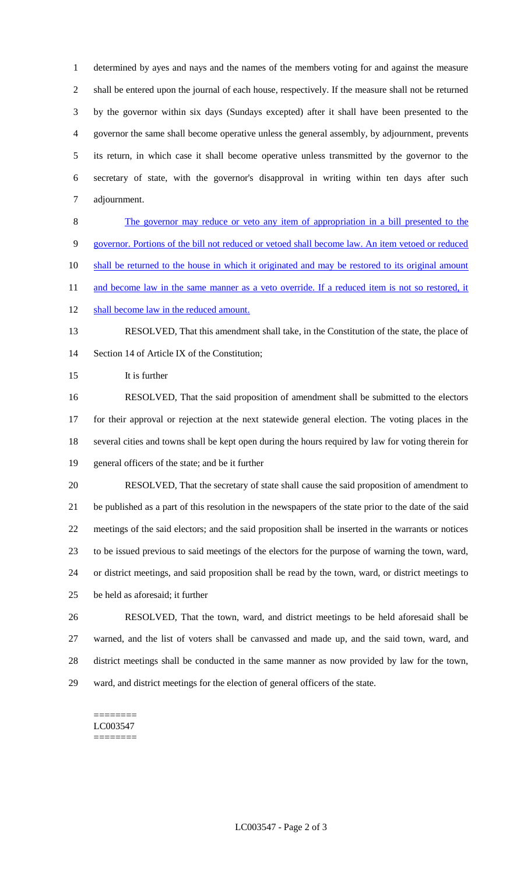determined by ayes and nays and the names of the members voting for and against the measure shall be entered upon the journal of each house, respectively. If the measure shall not be returned by the governor within six days (Sundays excepted) after it shall have been presented to the governor the same shall become operative unless the general assembly, by adjournment, prevents its return, in which case it shall become operative unless transmitted by the governor to the secretary of state, with the governor's disapproval in writing within ten days after such adjournment.

 The governor may reduce or veto any item of appropriation in a bill presented to the governor. Portions of the bill not reduced or vetoed shall become law. An item vetoed or reduced 10 shall be returned to the house in which it originated and may be restored to its original amount 11 and become law in the same manner as a veto override. If a reduced item is not so restored, it

12 shall become law in the reduced amount.

# RESOLVED, That this amendment shall take, in the Constitution of the state, the place of 14 Section 14 of Article IX of the Constitution:

It is further

 RESOLVED, That the said proposition of amendment shall be submitted to the electors for their approval or rejection at the next statewide general election. The voting places in the several cities and towns shall be kept open during the hours required by law for voting therein for general officers of the state; and be it further

- RESOLVED, That the secretary of state shall cause the said proposition of amendment to be published as a part of this resolution in the newspapers of the state prior to the date of the said meetings of the said electors; and the said proposition shall be inserted in the warrants or notices to be issued previous to said meetings of the electors for the purpose of warning the town, ward, or district meetings, and said proposition shall be read by the town, ward, or district meetings to be held as aforesaid; it further
- RESOLVED, That the town, ward, and district meetings to be held aforesaid shall be warned, and the list of voters shall be canvassed and made up, and the said town, ward, and district meetings shall be conducted in the same manner as now provided by law for the town, ward, and district meetings for the election of general officers of the state.

======== LC003547 ========